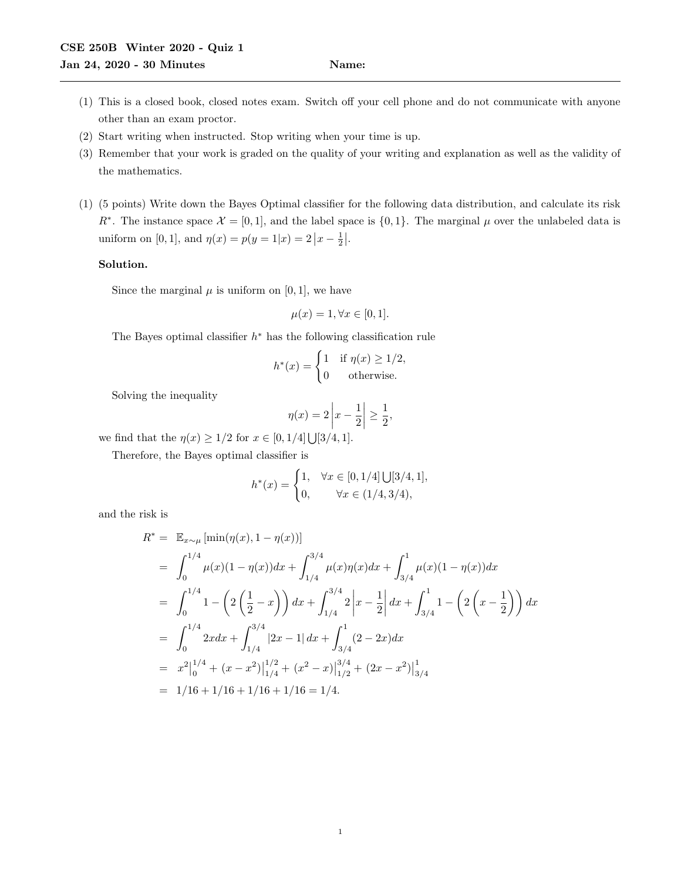- (1) This is a closed book, closed notes exam. Switch off your cell phone and do not communicate with anyone other than an exam proctor.
- (2) Start writing when instructed. Stop writing when your time is up.
- (3) Remember that your work is graded on the quality of your writing and explanation as well as the validity of the mathematics.
- (1) (5 points) Write down the Bayes Optimal classifier for the following data distribution, and calculate its risk R<sup>∗</sup>. The instance space  $\mathcal{X} = [0, 1]$ , and the label space is  $\{0, 1\}$ . The marginal  $\mu$  over the unlabeled data is uniform on [0, 1], and  $\eta(x) = p(y = 1|x) = 2|x - \frac{1}{2}|$ .

## Solution.

Since the marginal  $\mu$  is uniform on [0, 1], we have

$$
\mu(x) = 1, \forall x \in [0, 1].
$$

The Bayes optimal classifier  $h^*$  has the following classification rule

$$
h^*(x) = \begin{cases} 1 & \text{if } \eta(x) \ge 1/2, \\ 0 & \text{otherwise.} \end{cases}
$$

Solving the inequality

$$
\eta(x) = 2\left|x - \frac{1}{2}\right| \ge \frac{1}{2},
$$

we find that the  $\eta(x) \geq 1/2$  for  $x \in [0, 1/4] \bigcup [3/4, 1]$ .

Therefore, the Bayes optimal classifier is

$$
h^*(x) = \begin{cases} 1, & \forall x \in [0, 1/4] \cup [3/4, 1], \\ 0, & \forall x \in (1/4, 3/4), \end{cases}
$$

and the risk is

$$
R^* = \mathbb{E}_{x \sim \mu} [\min(\eta(x), 1 - \eta(x))]
$$
  
\n
$$
= \int_0^{1/4} \mu(x)(1 - \eta(x))dx + \int_{1/4}^{3/4} \mu(x)\eta(x)dx + \int_{3/4}^1 \mu(x)(1 - \eta(x))dx
$$
  
\n
$$
= \int_0^{1/4} 1 - \left(2\left(\frac{1}{2} - x\right)\right)dx + \int_{1/4}^{3/4} 2\left|x - \frac{1}{2}\right|dx + \int_{3/4}^1 1 - \left(2\left(x - \frac{1}{2}\right)\right)dx
$$
  
\n
$$
= \int_0^{1/4} 2xdx + \int_{1/4}^{3/4} |2x - 1| dx + \int_{3/4}^1 (2 - 2x)dx
$$
  
\n
$$
= x^2\Big|_0^{1/4} + (x - x^2)\Big|_{1/4}^{1/2} + (x^2 - x)\Big|_{1/2}^{3/4} + (2x - x^2)\Big|_{3/4}^1
$$
  
\n
$$
= 1/16 + 1/16 + 1/16 + 1/16 = 1/4.
$$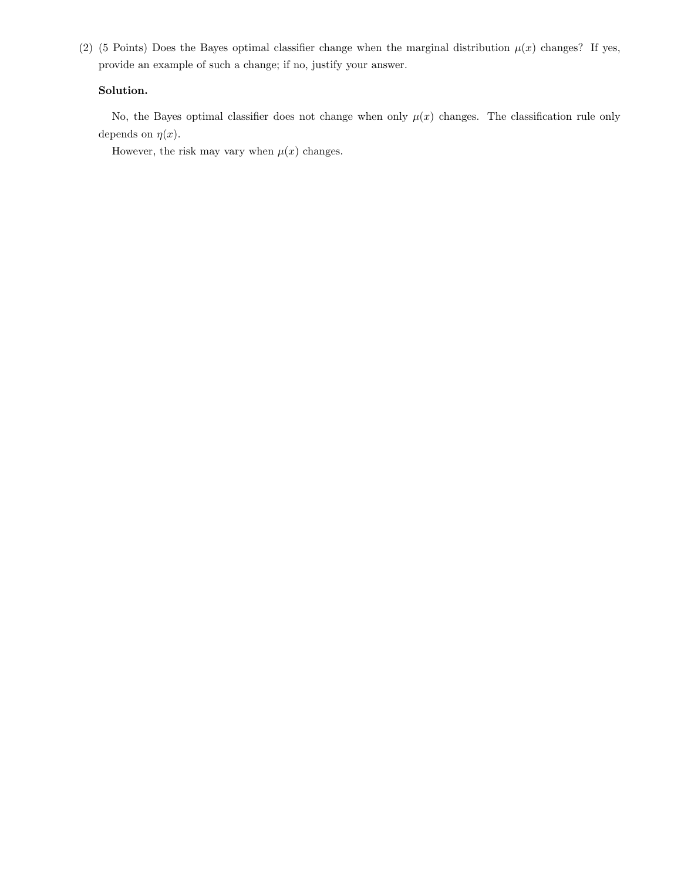(2) (5 Points) Does the Bayes optimal classifier change when the marginal distribution  $\mu(x)$  changes? If yes, provide an example of such a change; if no, justify your answer.

## Solution.

No, the Bayes optimal classifier does not change when only  $\mu(x)$  changes. The classification rule only depends on  $\eta(x)$ .

However, the risk may vary when  $\mu(x)$  changes.